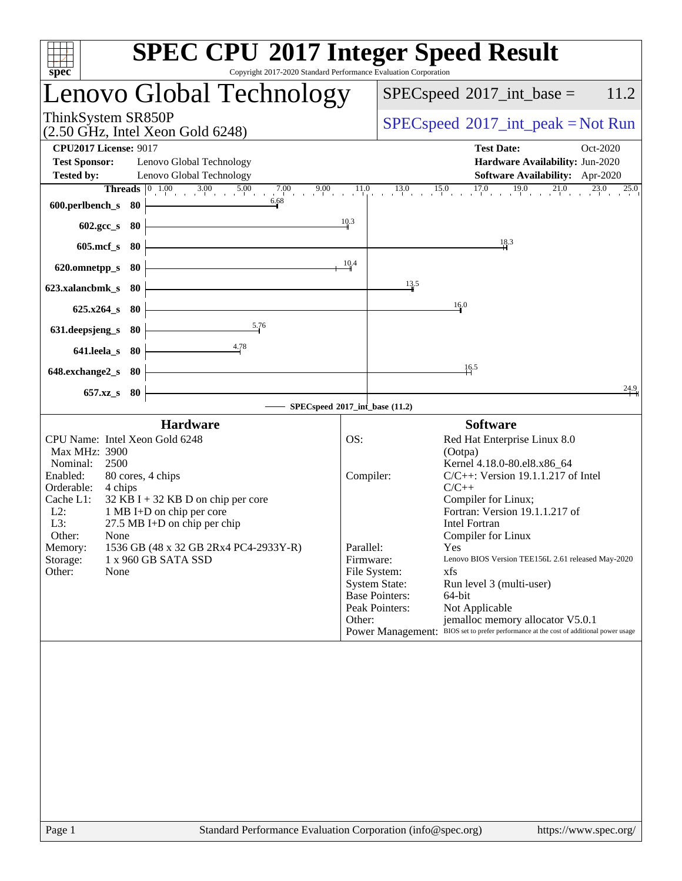| Copyright 2017-2020 Standard Performance Evaluation Corporation<br>spec <sup>®</sup>                                                                                                                                                                                                                                                                                                                           | <b>SPEC CPU®2017 Integer Speed Result</b>                                                                                                                                                                                                                                                                                                                                                                                                                                                                                                                                                                                                                    |
|----------------------------------------------------------------------------------------------------------------------------------------------------------------------------------------------------------------------------------------------------------------------------------------------------------------------------------------------------------------------------------------------------------------|--------------------------------------------------------------------------------------------------------------------------------------------------------------------------------------------------------------------------------------------------------------------------------------------------------------------------------------------------------------------------------------------------------------------------------------------------------------------------------------------------------------------------------------------------------------------------------------------------------------------------------------------------------------|
| Lenovo Global Technology                                                                                                                                                                                                                                                                                                                                                                                       | $SPEC speed^{\circ}2017\_int\_base =$<br>11.2                                                                                                                                                                                                                                                                                                                                                                                                                                                                                                                                                                                                                |
| ThinkSystem SR850P<br>$(2.50 \text{ GHz}, \text{Intel Xeon Gold } 6248)$                                                                                                                                                                                                                                                                                                                                       | $SPEC speed^{\circ}2017\_int\_peak = Not Run$                                                                                                                                                                                                                                                                                                                                                                                                                                                                                                                                                                                                                |
| <b>CPU2017 License: 9017</b><br><b>Test Sponsor:</b><br>Lenovo Global Technology<br>Lenovo Global Technology<br><b>Tested by:</b><br>6.68                                                                                                                                                                                                                                                                      | <b>Test Date:</b><br>Oct-2020<br>Hardware Availability: Jun-2020<br>Software Availability: Apr-2020<br><b>Threads</b> $\begin{bmatrix} 0 & 1.00 & 3.00 & 5.00 & 7.00 & 9.00 & 11.0 & 13.0 & 15.0 & 17.0 & 19.0 & 21.0 & 23.0 & 25.0 \end{bmatrix}$                                                                                                                                                                                                                                                                                                                                                                                                           |
| 600.perlbench_s<br>- 80<br>602.gcc_s<br>80<br>$605$ .mcf_s<br>80                                                                                                                                                                                                                                                                                                                                               | 10.3<br>18.3                                                                                                                                                                                                                                                                                                                                                                                                                                                                                                                                                                                                                                                 |
| 620.omnetpp_s<br>80<br>623.xalancbmk s<br>- 80<br>$625.x264_s$<br>- 80                                                                                                                                                                                                                                                                                                                                         | 10.4<br>$\frac{13.5}{ }$<br>16.0                                                                                                                                                                                                                                                                                                                                                                                                                                                                                                                                                                                                                             |
| 5.76<br>631.deepsjeng_s<br>80<br>4.78<br>641.leela_s<br>80                                                                                                                                                                                                                                                                                                                                                     |                                                                                                                                                                                                                                                                                                                                                                                                                                                                                                                                                                                                                                                              |
| 648.exchange2_s<br>- 80                                                                                                                                                                                                                                                                                                                                                                                        | $\frac{16.5}{1}$<br>24.9                                                                                                                                                                                                                                                                                                                                                                                                                                                                                                                                                                                                                                     |
| 657.xz_s 80                                                                                                                                                                                                                                                                                                                                                                                                    | SPECspeed®2017_int_base (11.2)                                                                                                                                                                                                                                                                                                                                                                                                                                                                                                                                                                                                                               |
| <b>Hardware</b><br>CPU Name: Intel Xeon Gold 6248<br>Max MHz: 3900<br>Nominal:<br>2500<br>Enabled:<br>80 cores, 4 chips<br>Orderable:<br>4 chips<br>Cache L1:<br>$32$ KB I + 32 KB D on chip per core<br>$L2$ :<br>1 MB I+D on chip per core<br>L3:<br>27.5 MB I+D on chip per chip<br>Other:<br>None<br>1536 GB (48 x 32 GB 2Rx4 PC4-2933Y-R)<br>Memory:<br>Storage:<br>1 x 960 GB SATA SSD<br>Other:<br>None | <b>Software</b><br>OS:<br>Red Hat Enterprise Linux 8.0<br>(Ootpa)<br>Kernel 4.18.0-80.el8.x86_64<br>Compiler:<br>$C/C++$ : Version 19.1.1.217 of Intel<br>$C/C++$<br>Compiler for Linux;<br>Fortran: Version 19.1.1.217 of<br><b>Intel Fortran</b><br>Compiler for Linux<br>Parallel:<br>Yes<br>Firmware:<br>Lenovo BIOS Version TEE156L 2.61 released May-2020<br>File System:<br>xfs<br><b>System State:</b><br>Run level 3 (multi-user)<br><b>Base Pointers:</b><br>64-bit<br>Peak Pointers:<br>Not Applicable<br>jemalloc memory allocator V5.0.1<br>Other:<br>BIOS set to prefer performance at the cost of additional power usage<br>Power Management: |
|                                                                                                                                                                                                                                                                                                                                                                                                                |                                                                                                                                                                                                                                                                                                                                                                                                                                                                                                                                                                                                                                                              |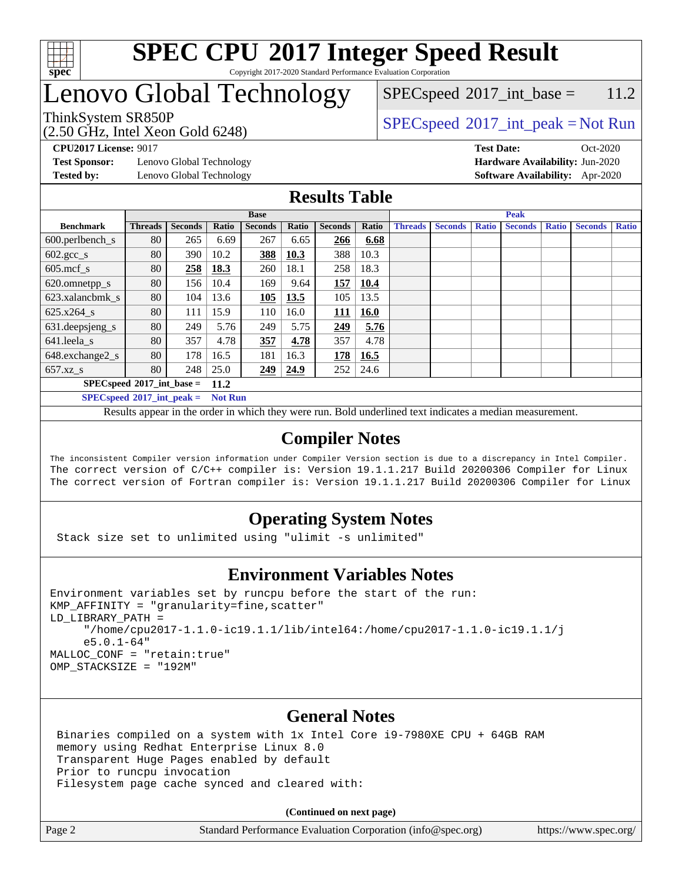

## Lenovo Global Technology

(2.50 GHz, Intel Xeon Gold 6248)

ThinkSystem SR850P<br>  $\begin{array}{c}\n\text{SPEC speed} \text{°2017\_int\_peak} = \text{Not Run} \\
\text{SPEC speed} \text{°2017\_int\_peak} = \text{Not Run} \\
\end{array}$  $SPECspeed^{\circ}2017\_int\_base = 11.2$  $SPECspeed^{\circ}2017\_int\_base = 11.2$ 

**[Test Sponsor:](http://www.spec.org/auto/cpu2017/Docs/result-fields.html#TestSponsor)** Lenovo Global Technology **[Hardware Availability:](http://www.spec.org/auto/cpu2017/Docs/result-fields.html#HardwareAvailability)** Jun-2020 **[Tested by:](http://www.spec.org/auto/cpu2017/Docs/result-fields.html#Testedby)** Lenovo Global Technology **[Software Availability:](http://www.spec.org/auto/cpu2017/Docs/result-fields.html#SoftwareAvailability)** Apr-2020

**[CPU2017 License:](http://www.spec.org/auto/cpu2017/Docs/result-fields.html#CPU2017License)** 9017 **[Test Date:](http://www.spec.org/auto/cpu2017/Docs/result-fields.html#TestDate)** Oct-2020

**[Results Table](http://www.spec.org/auto/cpu2017/Docs/result-fields.html#ResultsTable)**

|                                     | <b>Base</b>    |                |       |                |              |                | <b>Peak</b> |                |                |              |                |              |                |              |
|-------------------------------------|----------------|----------------|-------|----------------|--------------|----------------|-------------|----------------|----------------|--------------|----------------|--------------|----------------|--------------|
| <b>Benchmark</b>                    | <b>Threads</b> | <b>Seconds</b> | Ratio | <b>Seconds</b> | <b>Ratio</b> | <b>Seconds</b> | Ratio       | <b>Threads</b> | <b>Seconds</b> | <b>Ratio</b> | <b>Seconds</b> | <b>Ratio</b> | <b>Seconds</b> | <b>Ratio</b> |
| $600.$ perlbench $\mathsf{S}$       | 80             | 265            | 6.69  | 267            | 6.65         | 266            | 6.68        |                |                |              |                |              |                |              |
| $602.\text{gcc}\_\text{s}$          | 80             | 390            | 10.2  | 388            | 10.3         | 388            | 10.3        |                |                |              |                |              |                |              |
| $605$ .mcf s                        | 80             | 258            | 18.3  | 260            | 18.1         | 258            | 18.3        |                |                |              |                |              |                |              |
| 620.omnetpp_s                       | 80             | 156            | 10.4  | 169            | 9.64         | 157            | 10.4        |                |                |              |                |              |                |              |
| 623.xalancbmk s                     | 80             | 104            | 13.6  | 105            | 13.5         | 105            | 13.5        |                |                |              |                |              |                |              |
| 625.x264 s                          | 80             | 111            | 15.9  | 110            | 16.0         | 111            | <b>16.0</b> |                |                |              |                |              |                |              |
| 631.deepsjeng_s                     | 80             | 249            | 5.76  | 249            | 5.75         | 249            | 5.76        |                |                |              |                |              |                |              |
| 641.leela s                         | 80             | 357            | 4.78  | 357            | 4.78         | 357            | 4.78        |                |                |              |                |              |                |              |
| 648.exchange2_s                     | 80             | 178            | 16.5  | 181            | 16.3         | 178            | 16.5        |                |                |              |                |              |                |              |
| $657.xz$ s                          | 80             | 248            | 25.0  | 249            | 24.9         | 252            | 24.6        |                |                |              |                |              |                |              |
| $SPECspeed*2017$ int base =<br>11.2 |                |                |       |                |              |                |             |                |                |              |                |              |                |              |
|                                     |                |                | -- -  |                |              |                |             |                |                |              |                |              |                |              |

**[SPECspeed](http://www.spec.org/auto/cpu2017/Docs/result-fields.html#SPECspeed2017intpeak)[2017\\_int\\_peak =](http://www.spec.org/auto/cpu2017/Docs/result-fields.html#SPECspeed2017intpeak) Not Run**

Results appear in the [order in which they were run.](http://www.spec.org/auto/cpu2017/Docs/result-fields.html#RunOrder) Bold underlined text [indicates a median measurement.](http://www.spec.org/auto/cpu2017/Docs/result-fields.html#Median)

#### **[Compiler Notes](http://www.spec.org/auto/cpu2017/Docs/result-fields.html#CompilerNotes)**

The inconsistent Compiler version information under Compiler Version section is due to a discrepancy in Intel Compiler. The correct version of C/C++ compiler is: Version 19.1.1.217 Build 20200306 Compiler for Linux The correct version of Fortran compiler is: Version 19.1.1.217 Build 20200306 Compiler for Linux

### **[Operating System Notes](http://www.spec.org/auto/cpu2017/Docs/result-fields.html#OperatingSystemNotes)**

Stack size set to unlimited using "ulimit -s unlimited"

#### **[Environment Variables Notes](http://www.spec.org/auto/cpu2017/Docs/result-fields.html#EnvironmentVariablesNotes)**

```
Environment variables set by runcpu before the start of the run:
KMP_AFFINITY = "granularity=fine,scatter"
LD_LIBRARY_PATH =
      "/home/cpu2017-1.1.0-ic19.1.1/lib/intel64:/home/cpu2017-1.1.0-ic19.1.1/j
      e5.0.1-64"
MALLOC_CONF = "retain:true"
OMP_STACKSIZE = "192M"
```
### **[General Notes](http://www.spec.org/auto/cpu2017/Docs/result-fields.html#GeneralNotes)**

 Binaries compiled on a system with 1x Intel Core i9-7980XE CPU + 64GB RAM memory using Redhat Enterprise Linux 8.0 Transparent Huge Pages enabled by default Prior to runcpu invocation Filesystem page cache synced and cleared with:

**(Continued on next page)**

Page 2 Standard Performance Evaluation Corporation [\(info@spec.org\)](mailto:info@spec.org) <https://www.spec.org/>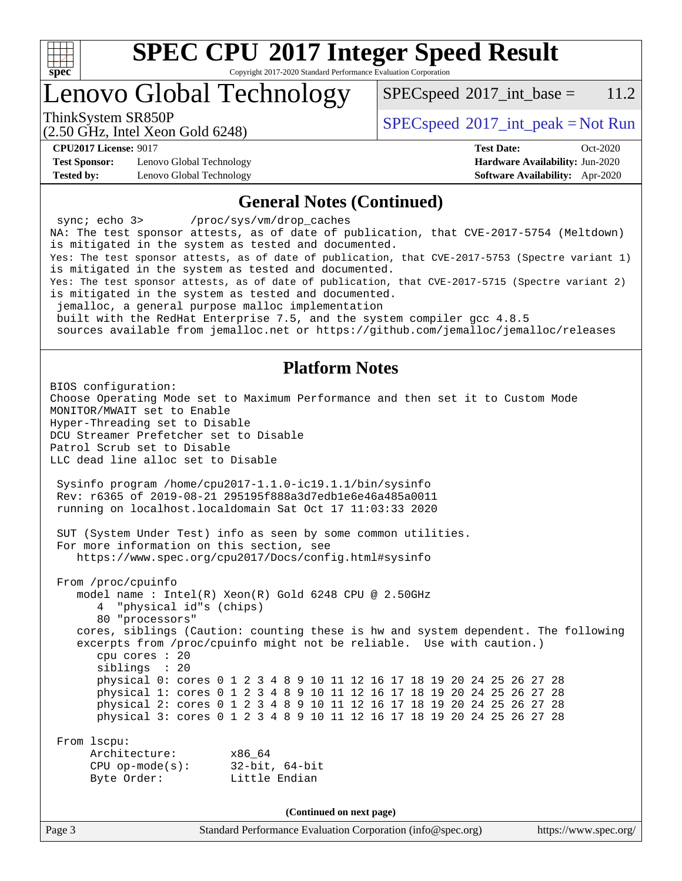

# **[SPEC CPU](http://www.spec.org/auto/cpu2017/Docs/result-fields.html#SPECCPU2017IntegerSpeedResult)[2017 Integer Speed Result](http://www.spec.org/auto/cpu2017/Docs/result-fields.html#SPECCPU2017IntegerSpeedResult)**

Copyright 2017-2020 Standard Performance Evaluation Corporation

## Lenovo Global Technology

 $SPEC speed^{\circ}2017\_int\_base = 11.2$ 

(2.50 GHz, Intel Xeon Gold 6248)

ThinkSystem SR850P<br>  $\begin{array}{c}\n\text{SPEC speed} \text{?}2017\_int\_peak = Not Run\n\end{array}$ 

**[Test Sponsor:](http://www.spec.org/auto/cpu2017/Docs/result-fields.html#TestSponsor)** Lenovo Global Technology **[Hardware Availability:](http://www.spec.org/auto/cpu2017/Docs/result-fields.html#HardwareAvailability)** Jun-2020 **[Tested by:](http://www.spec.org/auto/cpu2017/Docs/result-fields.html#Testedby)** Lenovo Global Technology **[Software Availability:](http://www.spec.org/auto/cpu2017/Docs/result-fields.html#SoftwareAvailability)** Apr-2020

**[CPU2017 License:](http://www.spec.org/auto/cpu2017/Docs/result-fields.html#CPU2017License)** 9017 **[Test Date:](http://www.spec.org/auto/cpu2017/Docs/result-fields.html#TestDate)** Oct-2020

#### **[General Notes \(Continued\)](http://www.spec.org/auto/cpu2017/Docs/result-fields.html#GeneralNotes)**

Page 3 Standard Performance Evaluation Corporation [\(info@spec.org\)](mailto:info@spec.org) <https://www.spec.org/> sync; echo 3> /proc/sys/vm/drop\_caches NA: The test sponsor attests, as of date of publication, that CVE-2017-5754 (Meltdown) is mitigated in the system as tested and documented. Yes: The test sponsor attests, as of date of publication, that CVE-2017-5753 (Spectre variant 1) is mitigated in the system as tested and documented. Yes: The test sponsor attests, as of date of publication, that CVE-2017-5715 (Spectre variant 2) is mitigated in the system as tested and documented. jemalloc, a general purpose malloc implementation built with the RedHat Enterprise 7.5, and the system compiler gcc 4.8.5 sources available from jemalloc.net or<https://github.com/jemalloc/jemalloc/releases> **[Platform Notes](http://www.spec.org/auto/cpu2017/Docs/result-fields.html#PlatformNotes)** BIOS configuration: Choose Operating Mode set to Maximum Performance and then set it to Custom Mode MONITOR/MWAIT set to Enable Hyper-Threading set to Disable DCU Streamer Prefetcher set to Disable Patrol Scrub set to Disable LLC dead line alloc set to Disable Sysinfo program /home/cpu2017-1.1.0-ic19.1.1/bin/sysinfo Rev: r6365 of 2019-08-21 295195f888a3d7edb1e6e46a485a0011 running on localhost.localdomain Sat Oct 17 11:03:33 2020 SUT (System Under Test) info as seen by some common utilities. For more information on this section, see <https://www.spec.org/cpu2017/Docs/config.html#sysinfo> From /proc/cpuinfo model name : Intel(R) Xeon(R) Gold 6248 CPU @ 2.50GHz 4 "physical id"s (chips) 80 "processors" cores, siblings (Caution: counting these is hw and system dependent. The following excerpts from /proc/cpuinfo might not be reliable. Use with caution.) cpu cores : 20 siblings : 20 physical 0: cores 0 1 2 3 4 8 9 10 11 12 16 17 18 19 20 24 25 26 27 28 physical 1: cores 0 1 2 3 4 8 9 10 11 12 16 17 18 19 20 24 25 26 27 28 physical 2: cores 0 1 2 3 4 8 9 10 11 12 16 17 18 19 20 24 25 26 27 28 physical 3: cores 0 1 2 3 4 8 9 10 11 12 16 17 18 19 20 24 25 26 27 28 From lscpu: Architecture: x86\_64 CPU op-mode(s): 32-bit, 64-bit Byte Order: Little Endian **(Continued on next page)**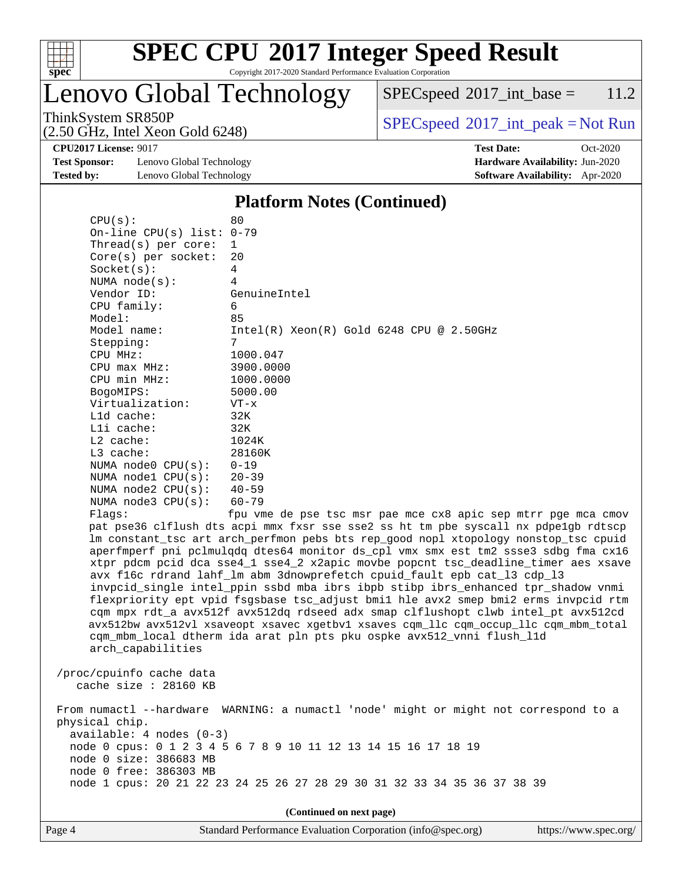

Lenovo Global Technology

 $SPECspeed^{\circledcirc}2017\_int\_base = 11.2$  $SPECspeed^{\circledcirc}2017\_int\_base = 11.2$ 

(2.50 GHz, Intel Xeon Gold 6248)

 $SPEC speed^{\circ}2017\_int\_peak = Not Run$ 

**[Test Sponsor:](http://www.spec.org/auto/cpu2017/Docs/result-fields.html#TestSponsor)** Lenovo Global Technology **[Hardware Availability:](http://www.spec.org/auto/cpu2017/Docs/result-fields.html#HardwareAvailability)** Jun-2020 **[Tested by:](http://www.spec.org/auto/cpu2017/Docs/result-fields.html#Testedby)** Lenovo Global Technology **[Software Availability:](http://www.spec.org/auto/cpu2017/Docs/result-fields.html#SoftwareAvailability)** Apr-2020

 $CPU(s):$  80

**[CPU2017 License:](http://www.spec.org/auto/cpu2017/Docs/result-fields.html#CPU2017License)** 9017 **[Test Date:](http://www.spec.org/auto/cpu2017/Docs/result-fields.html#TestDate)** Oct-2020

#### **[Platform Notes \(Continued\)](http://www.spec.org/auto/cpu2017/Docs/result-fields.html#PlatformNotes)**

|                | On-line CPU(s) list: 0-79                                                    |                                                                                                                                                                                                                                                                                                                                                                                                                                                                                                                                                                                                                                                                                                                                                                                                                                                                 |
|----------------|------------------------------------------------------------------------------|-----------------------------------------------------------------------------------------------------------------------------------------------------------------------------------------------------------------------------------------------------------------------------------------------------------------------------------------------------------------------------------------------------------------------------------------------------------------------------------------------------------------------------------------------------------------------------------------------------------------------------------------------------------------------------------------------------------------------------------------------------------------------------------------------------------------------------------------------------------------|
|                | Thread( $s$ ) per core:                                                      | $\mathbf 1$                                                                                                                                                                                                                                                                                                                                                                                                                                                                                                                                                                                                                                                                                                                                                                                                                                                     |
|                | $Core(s)$ per socket:                                                        | 20                                                                                                                                                                                                                                                                                                                                                                                                                                                                                                                                                                                                                                                                                                                                                                                                                                                              |
| Socket(s):     |                                                                              | $\overline{4}$                                                                                                                                                                                                                                                                                                                                                                                                                                                                                                                                                                                                                                                                                                                                                                                                                                                  |
|                | NUMA $node(s)$ :                                                             | 4                                                                                                                                                                                                                                                                                                                                                                                                                                                                                                                                                                                                                                                                                                                                                                                                                                                               |
| Vendor ID:     |                                                                              | GenuineIntel                                                                                                                                                                                                                                                                                                                                                                                                                                                                                                                                                                                                                                                                                                                                                                                                                                                    |
|                | CPU family:                                                                  | 6                                                                                                                                                                                                                                                                                                                                                                                                                                                                                                                                                                                                                                                                                                                                                                                                                                                               |
| Model:         |                                                                              | 85                                                                                                                                                                                                                                                                                                                                                                                                                                                                                                                                                                                                                                                                                                                                                                                                                                                              |
|                | Model name:                                                                  | Intel(R) Xeon(R) Gold 6248 CPU @ 2.50GHz                                                                                                                                                                                                                                                                                                                                                                                                                                                                                                                                                                                                                                                                                                                                                                                                                        |
| Stepping:      |                                                                              | 7                                                                                                                                                                                                                                                                                                                                                                                                                                                                                                                                                                                                                                                                                                                                                                                                                                                               |
| CPU MHz:       |                                                                              | 1000.047                                                                                                                                                                                                                                                                                                                                                                                                                                                                                                                                                                                                                                                                                                                                                                                                                                                        |
|                | $CPU$ max $MHz$ :                                                            | 3900.0000                                                                                                                                                                                                                                                                                                                                                                                                                                                                                                                                                                                                                                                                                                                                                                                                                                                       |
|                | CPU min MHz:                                                                 | 1000.0000                                                                                                                                                                                                                                                                                                                                                                                                                                                                                                                                                                                                                                                                                                                                                                                                                                                       |
| BogoMIPS:      |                                                                              | 5000.00                                                                                                                                                                                                                                                                                                                                                                                                                                                                                                                                                                                                                                                                                                                                                                                                                                                         |
|                | Virtualization:                                                              | $VT - x$                                                                                                                                                                                                                                                                                                                                                                                                                                                                                                                                                                                                                                                                                                                                                                                                                                                        |
| L1d cache:     |                                                                              | 32K                                                                                                                                                                                                                                                                                                                                                                                                                                                                                                                                                                                                                                                                                                                                                                                                                                                             |
| Lli cache:     |                                                                              | 32K                                                                                                                                                                                                                                                                                                                                                                                                                                                                                                                                                                                                                                                                                                                                                                                                                                                             |
| $L2$ cache:    |                                                                              | 1024K                                                                                                                                                                                                                                                                                                                                                                                                                                                                                                                                                                                                                                                                                                                                                                                                                                                           |
| L3 cache:      |                                                                              | 28160K                                                                                                                                                                                                                                                                                                                                                                                                                                                                                                                                                                                                                                                                                                                                                                                                                                                          |
|                | NUMA $node0$ $CPU(s):$                                                       | $0 - 19$                                                                                                                                                                                                                                                                                                                                                                                                                                                                                                                                                                                                                                                                                                                                                                                                                                                        |
|                | NUMA $node1$ $CPU(s):$                                                       | $20 - 39$                                                                                                                                                                                                                                                                                                                                                                                                                                                                                                                                                                                                                                                                                                                                                                                                                                                       |
|                | NUMA $node2$ $CPU(s):$                                                       | $40 - 59$                                                                                                                                                                                                                                                                                                                                                                                                                                                                                                                                                                                                                                                                                                                                                                                                                                                       |
|                | NUMA $node3$ CPU $(s)$ :                                                     | $60 - 79$                                                                                                                                                                                                                                                                                                                                                                                                                                                                                                                                                                                                                                                                                                                                                                                                                                                       |
| Flaqs:         |                                                                              | fpu vme de pse tsc msr pae mce cx8 apic sep mtrr pge mca cmov                                                                                                                                                                                                                                                                                                                                                                                                                                                                                                                                                                                                                                                                                                                                                                                                   |
|                | arch_capabilities                                                            | pat pse36 clflush dts acpi mmx fxsr sse sse2 ss ht tm pbe syscall nx pdpelgb rdtscp<br>lm constant_tsc art arch_perfmon pebs bts rep_good nopl xtopology nonstop_tsc cpuid<br>aperfmperf pni pclmulqdq dtes64 monitor ds_cpl vmx smx est tm2 ssse3 sdbg fma cx16<br>xtpr pdcm pcid dca sse4_1 sse4_2 x2apic movbe popcnt tsc_deadline_timer aes xsave<br>avx f16c rdrand lahf_lm abm 3dnowprefetch cpuid_fault epb cat_13 cdp_13<br>invpcid_single intel_ppin ssbd mba ibrs ibpb stibp ibrs_enhanced tpr_shadow vnmi<br>flexpriority ept vpid fsgsbase tsc_adjust bmil hle avx2 smep bmi2 erms invpcid rtm<br>cqm mpx rdt_a avx512f avx512dq rdseed adx smap clflushopt clwb intel_pt avx512cd<br>avx512bw avx512vl xsaveopt xsavec xgetbvl xsaves cqm_llc cqm_occup_llc cqm_mbm_total<br>cqm_mbm_local dtherm ida arat pln pts pku ospke avx512_vnni flush_l1d |
|                | /proc/cpuinfo cache data<br>cache size $: 28160$ KB                          |                                                                                                                                                                                                                                                                                                                                                                                                                                                                                                                                                                                                                                                                                                                                                                                                                                                                 |
| physical chip. | available: 4 nodes (0-3)<br>node 0 size: 386683 MB<br>node 0 free: 386303 MB | From numactl --hardware WARNING: a numactl 'node' might or might not correspond to a<br>node 0 cpus: 0 1 2 3 4 5 6 7 8 9 10 11 12 13 14 15 16 17 18 19<br>node 1 cpus: 20 21 22 23 24 25 26 27 28 29 30 31 32 33 34 35 36 37 38 39                                                                                                                                                                                                                                                                                                                                                                                                                                                                                                                                                                                                                              |
|                |                                                                              |                                                                                                                                                                                                                                                                                                                                                                                                                                                                                                                                                                                                                                                                                                                                                                                                                                                                 |

**(Continued on next page)**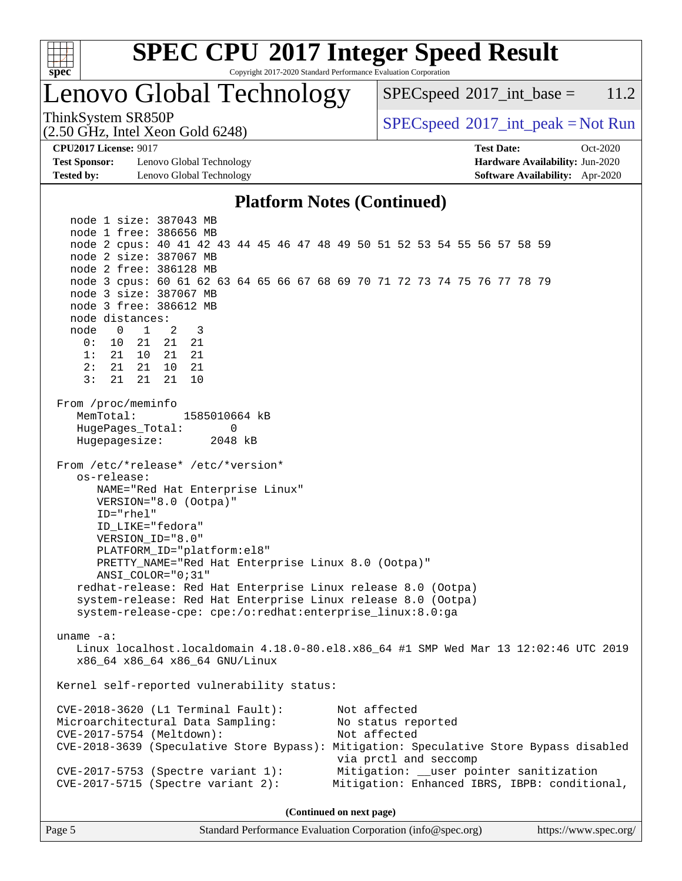

# **[SPEC CPU](http://www.spec.org/auto/cpu2017/Docs/result-fields.html#SPECCPU2017IntegerSpeedResult)[2017 Integer Speed Result](http://www.spec.org/auto/cpu2017/Docs/result-fields.html#SPECCPU2017IntegerSpeedResult)**

Copyright 2017-2020 Standard Performance Evaluation Corporation

## Lenovo Global Technology

 $SPEC speed^{\circ}2017\_int\_base = 11.2$ 

(2.50 GHz, Intel Xeon Gold 6248)

ThinkSystem SR850P<br>  $\begin{array}{c}\n\text{SPEC speed} \text{°2017\_int\_peak} = \text{Not Run} \\
\text{SPEC speed} \text{°2017\_int\_peak} = \text{Not Run} \\
\end{array}$ 

**[Test Sponsor:](http://www.spec.org/auto/cpu2017/Docs/result-fields.html#TestSponsor)** Lenovo Global Technology **[Hardware Availability:](http://www.spec.org/auto/cpu2017/Docs/result-fields.html#HardwareAvailability)** Jun-2020 **[Tested by:](http://www.spec.org/auto/cpu2017/Docs/result-fields.html#Testedby)** Lenovo Global Technology **[Software Availability:](http://www.spec.org/auto/cpu2017/Docs/result-fields.html#SoftwareAvailability)** Apr-2020

**[CPU2017 License:](http://www.spec.org/auto/cpu2017/Docs/result-fields.html#CPU2017License)** 9017 **[Test Date:](http://www.spec.org/auto/cpu2017/Docs/result-fields.html#TestDate)** Oct-2020

#### **[Platform Notes \(Continued\)](http://www.spec.org/auto/cpu2017/Docs/result-fields.html#PlatformNotes)**

 node 1 size: 387043 MB node 1 free: 386656 MB node 2 cpus: 40 41 42 43 44 45 46 47 48 49 50 51 52 53 54 55 56 57 58 59 node 2 size: 387067 MB node 2 free: 386128 MB node 3 cpus: 60 61 62 63 64 65 66 67 68 69 70 71 72 73 74 75 76 77 78 79 node 3 size: 387067 MB node 3 free: 386612 MB node distances: node 0 1 2 3 0: 10 21 21 21 1: 21 10 21 21 2: 21 21 10 21 3: 21 21 21 10 From /proc/meminfo MemTotal: 1585010664 kB HugePages\_Total: 0 Hugepagesize: 2048 kB From /etc/\*release\* /etc/\*version\* os-release: NAME="Red Hat Enterprise Linux" VERSION="8.0 (Ootpa)" ID="rhel" ID\_LIKE="fedora" VERSION\_ID="8.0" PLATFORM\_ID="platform:el8" PRETTY\_NAME="Red Hat Enterprise Linux 8.0 (Ootpa)" ANSI\_COLOR="0;31" redhat-release: Red Hat Enterprise Linux release 8.0 (Ootpa) system-release: Red Hat Enterprise Linux release 8.0 (Ootpa) system-release-cpe: cpe:/o:redhat:enterprise\_linux:8.0:ga uname -a: Linux localhost.localdomain 4.18.0-80.el8.x86\_64 #1 SMP Wed Mar 13 12:02:46 UTC 2019 x86\_64 x86\_64 x86\_64 GNU/Linux Kernel self-reported vulnerability status: CVE-2018-3620 (L1 Terminal Fault): Not affected Microarchitectural Data Sampling: No status reported CVE-2017-5754 (Meltdown): Not affected CVE-2018-3639 (Speculative Store Bypass): Mitigation: Speculative Store Bypass disabled via prctl and seccomp CVE-2017-5753 (Spectre variant 1): Mitigation: \_\_user pointer sanitization CVE-2017-5715 (Spectre variant 2): Mitigation: Enhanced IBRS, IBPB: conditional,

**(Continued on next page)**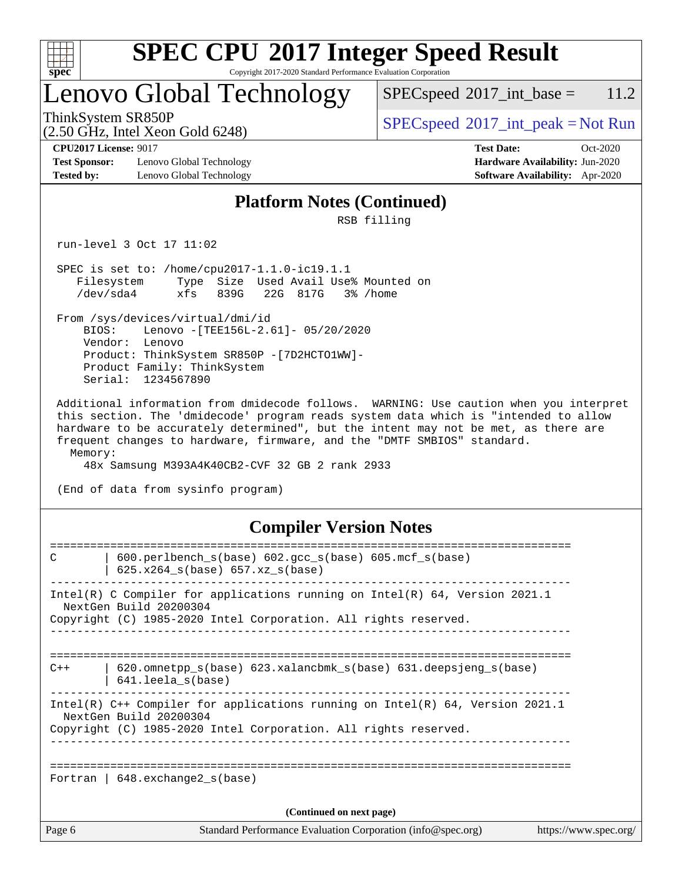

# **[SPEC CPU](http://www.spec.org/auto/cpu2017/Docs/result-fields.html#SPECCPU2017IntegerSpeedResult)[2017 Integer Speed Result](http://www.spec.org/auto/cpu2017/Docs/result-fields.html#SPECCPU2017IntegerSpeedResult)**

Copyright 2017-2020 Standard Performance Evaluation Corporation

## Lenovo Global Technology

 $SPEC speed^{\circ}2017\_int\_base = 11.2$ 

(2.50 GHz, Intel Xeon Gold 6248)

 $SPEC speed^{\circ}2017\_int\_peak = Not Run$ 

**[Test Sponsor:](http://www.spec.org/auto/cpu2017/Docs/result-fields.html#TestSponsor)** Lenovo Global Technology **[Hardware Availability:](http://www.spec.org/auto/cpu2017/Docs/result-fields.html#HardwareAvailability)** Jun-2020 **[Tested by:](http://www.spec.org/auto/cpu2017/Docs/result-fields.html#Testedby)** Lenovo Global Technology **[Software Availability:](http://www.spec.org/auto/cpu2017/Docs/result-fields.html#SoftwareAvailability)** Apr-2020

**[CPU2017 License:](http://www.spec.org/auto/cpu2017/Docs/result-fields.html#CPU2017License)** 9017 **[Test Date:](http://www.spec.org/auto/cpu2017/Docs/result-fields.html#TestDate)** Oct-2020

#### **[Platform Notes \(Continued\)](http://www.spec.org/auto/cpu2017/Docs/result-fields.html#PlatformNotes)**

RSB filling

run-level 3 Oct 17 11:02

 SPEC is set to: /home/cpu2017-1.1.0-ic19.1.1 Filesystem Type Size Used Avail Use% Mounted on /dev/sda4 xfs 839G 22G 817G 3% /home

 From /sys/devices/virtual/dmi/id BIOS: Lenovo -[TEE156L-2.61]- 05/20/2020 Vendor: Lenovo Product: ThinkSystem SR850P -[7D2HCTO1WW]- Product Family: ThinkSystem Serial: 1234567890

 Additional information from dmidecode follows. WARNING: Use caution when you interpret this section. The 'dmidecode' program reads system data which is "intended to allow hardware to be accurately determined", but the intent may not be met, as there are frequent changes to hardware, firmware, and the "DMTF SMBIOS" standard. Memory:

48x Samsung M393A4K40CB2-CVF 32 GB 2 rank 2933

(End of data from sysinfo program)

### **[Compiler Version Notes](http://www.spec.org/auto/cpu2017/Docs/result-fields.html#CompilerVersionNotes)**

| Page 6 | Standard Performance Evaluation Corporation (info@spec.org)                                                                                                                 | https://www.spec.org/ |
|--------|-----------------------------------------------------------------------------------------------------------------------------------------------------------------------------|-----------------------|
|        | (Continued on next page)                                                                                                                                                    |                       |
|        | Fortran   $648$ . exchange2 $s(base)$                                                                                                                                       |                       |
|        | Intel(R) C++ Compiler for applications running on Intel(R) 64, Version 2021.1<br>NextGen Build 20200304<br>Copyright (C) 1985-2020 Intel Corporation. All rights reserved.  |                       |
| $C++$  | $620$ .omnetpp $s(base)$ 623.xalancbmk $s(base)$ 631.deepsjeng $s(base)$<br>641.leela s(base)                                                                               |                       |
|        | Intel(R) C Compiler for applications running on $Intel(R) 64$ , Version 2021.1<br>NextGen Build 20200304<br>Copyright (C) 1985-2020 Intel Corporation. All rights reserved. |                       |
| C      | $600. perlbench_s(base) 602. gcc_s(base) 605. mcf_s(base)$<br>$625.x264_s(base) 657.xz_s(base)$                                                                             |                       |
|        |                                                                                                                                                                             |                       |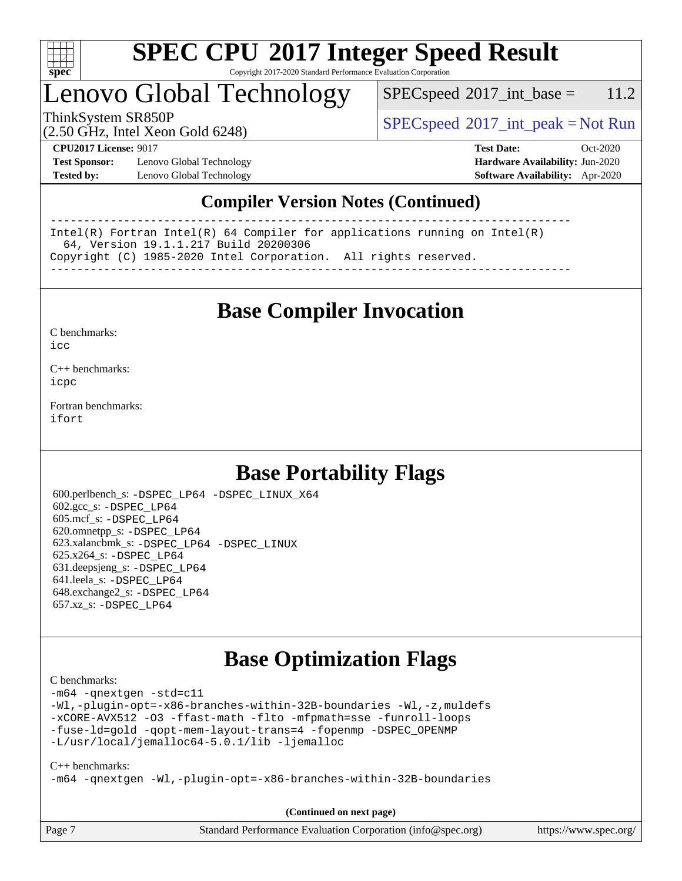

## Lenovo Global Technology

 $SPECspeed^{\circ}2017\_int\_base = 11.2$  $SPECspeed^{\circ}2017\_int\_base = 11.2$ 

(2.50 GHz, Intel Xeon Gold 6248)

ThinkSystem SR850P<br>  $\begin{array}{c}\n\text{SPEC speed} \text{?}2017\_int\_peak = Not Run\n\end{array}$ 

**[Test Sponsor:](http://www.spec.org/auto/cpu2017/Docs/result-fields.html#TestSponsor)** Lenovo Global Technology **[Hardware Availability:](http://www.spec.org/auto/cpu2017/Docs/result-fields.html#HardwareAvailability)** Jun-2020 **[Tested by:](http://www.spec.org/auto/cpu2017/Docs/result-fields.html#Testedby)** Lenovo Global Technology **[Software Availability:](http://www.spec.org/auto/cpu2017/Docs/result-fields.html#SoftwareAvailability)** Apr-2020

**[CPU2017 License:](http://www.spec.org/auto/cpu2017/Docs/result-fields.html#CPU2017License)** 9017 **[Test Date:](http://www.spec.org/auto/cpu2017/Docs/result-fields.html#TestDate)** Oct-2020

### **[Compiler Version Notes \(Continued\)](http://www.spec.org/auto/cpu2017/Docs/result-fields.html#CompilerVersionNotes)**

------------------------------------------------------------------------------ Intel(R) Fortran Intel(R) 64 Compiler for applications running on Intel(R) 64, Version 19.1.1.217 Build 20200306 Copyright (C) 1985-2020 Intel Corporation. All rights reserved. ------------------------------------------------------------------------------

**[Base Compiler Invocation](http://www.spec.org/auto/cpu2017/Docs/result-fields.html#BaseCompilerInvocation)**

[C benchmarks](http://www.spec.org/auto/cpu2017/Docs/result-fields.html#Cbenchmarks):  $i$ cc

[C++ benchmarks:](http://www.spec.org/auto/cpu2017/Docs/result-fields.html#CXXbenchmarks) [icpc](http://www.spec.org/cpu2017/results/res2020q4/cpu2017-20201026-24298.flags.html#user_CXXbase_intel_icpc_c510b6838c7f56d33e37e94d029a35b4a7bccf4766a728ee175e80a419847e808290a9b78be685c44ab727ea267ec2f070ec5dc83b407c0218cded6866a35d07)

[Fortran benchmarks](http://www.spec.org/auto/cpu2017/Docs/result-fields.html#Fortranbenchmarks): [ifort](http://www.spec.org/cpu2017/results/res2020q4/cpu2017-20201026-24298.flags.html#user_FCbase_intel_ifort_8111460550e3ca792625aed983ce982f94888b8b503583aa7ba2b8303487b4d8a21a13e7191a45c5fd58ff318f48f9492884d4413fa793fd88dd292cad7027ca)

## **[Base Portability Flags](http://www.spec.org/auto/cpu2017/Docs/result-fields.html#BasePortabilityFlags)**

 600.perlbench\_s: [-DSPEC\\_LP64](http://www.spec.org/cpu2017/results/res2020q4/cpu2017-20201026-24298.flags.html#b600.perlbench_s_basePORTABILITY_DSPEC_LP64) [-DSPEC\\_LINUX\\_X64](http://www.spec.org/cpu2017/results/res2020q4/cpu2017-20201026-24298.flags.html#b600.perlbench_s_baseCPORTABILITY_DSPEC_LINUX_X64) 602.gcc\_s: [-DSPEC\\_LP64](http://www.spec.org/cpu2017/results/res2020q4/cpu2017-20201026-24298.flags.html#suite_basePORTABILITY602_gcc_s_DSPEC_LP64) 605.mcf\_s: [-DSPEC\\_LP64](http://www.spec.org/cpu2017/results/res2020q4/cpu2017-20201026-24298.flags.html#suite_basePORTABILITY605_mcf_s_DSPEC_LP64) 620.omnetpp\_s: [-DSPEC\\_LP64](http://www.spec.org/cpu2017/results/res2020q4/cpu2017-20201026-24298.flags.html#suite_basePORTABILITY620_omnetpp_s_DSPEC_LP64) 623.xalancbmk\_s: [-DSPEC\\_LP64](http://www.spec.org/cpu2017/results/res2020q4/cpu2017-20201026-24298.flags.html#suite_basePORTABILITY623_xalancbmk_s_DSPEC_LP64) [-DSPEC\\_LINUX](http://www.spec.org/cpu2017/results/res2020q4/cpu2017-20201026-24298.flags.html#b623.xalancbmk_s_baseCXXPORTABILITY_DSPEC_LINUX) 625.x264\_s: [-DSPEC\\_LP64](http://www.spec.org/cpu2017/results/res2020q4/cpu2017-20201026-24298.flags.html#suite_basePORTABILITY625_x264_s_DSPEC_LP64) 631.deepsjeng\_s: [-DSPEC\\_LP64](http://www.spec.org/cpu2017/results/res2020q4/cpu2017-20201026-24298.flags.html#suite_basePORTABILITY631_deepsjeng_s_DSPEC_LP64) 641.leela\_s: [-DSPEC\\_LP64](http://www.spec.org/cpu2017/results/res2020q4/cpu2017-20201026-24298.flags.html#suite_basePORTABILITY641_leela_s_DSPEC_LP64) 648.exchange2\_s: [-DSPEC\\_LP64](http://www.spec.org/cpu2017/results/res2020q4/cpu2017-20201026-24298.flags.html#suite_basePORTABILITY648_exchange2_s_DSPEC_LP64) 657.xz\_s: [-DSPEC\\_LP64](http://www.spec.org/cpu2017/results/res2020q4/cpu2017-20201026-24298.flags.html#suite_basePORTABILITY657_xz_s_DSPEC_LP64)

## **[Base Optimization Flags](http://www.spec.org/auto/cpu2017/Docs/result-fields.html#BaseOptimizationFlags)**

[C benchmarks](http://www.spec.org/auto/cpu2017/Docs/result-fields.html#Cbenchmarks):

[-m64](http://www.spec.org/cpu2017/results/res2020q4/cpu2017-20201026-24298.flags.html#user_CCbase_m64-icc) [-qnextgen](http://www.spec.org/cpu2017/results/res2020q4/cpu2017-20201026-24298.flags.html#user_CCbase_f-qnextgen) [-std=c11](http://www.spec.org/cpu2017/results/res2020q4/cpu2017-20201026-24298.flags.html#user_CCbase_std-icc-std_0e1c27790398a4642dfca32ffe6c27b5796f9c2d2676156f2e42c9c44eaad0c049b1cdb667a270c34d979996257aeb8fc440bfb01818dbc9357bd9d174cb8524) [-Wl,-plugin-opt=-x86-branches-within-32B-boundaries](http://www.spec.org/cpu2017/results/res2020q4/cpu2017-20201026-24298.flags.html#user_CCbase_f-x86-branches-within-32B-boundaries_0098b4e4317ae60947b7b728078a624952a08ac37a3c797dfb4ffeb399e0c61a9dd0f2f44ce917e9361fb9076ccb15e7824594512dd315205382d84209e912f3) [-Wl,-z,muldefs](http://www.spec.org/cpu2017/results/res2020q4/cpu2017-20201026-24298.flags.html#user_CCbase_link_force_multiple1_b4cbdb97b34bdee9ceefcfe54f4c8ea74255f0b02a4b23e853cdb0e18eb4525ac79b5a88067c842dd0ee6996c24547a27a4b99331201badda8798ef8a743f577) [-xCORE-AVX512](http://www.spec.org/cpu2017/results/res2020q4/cpu2017-20201026-24298.flags.html#user_CCbase_f-xCORE-AVX512) [-O3](http://www.spec.org/cpu2017/results/res2020q4/cpu2017-20201026-24298.flags.html#user_CCbase_f-O3) [-ffast-math](http://www.spec.org/cpu2017/results/res2020q4/cpu2017-20201026-24298.flags.html#user_CCbase_f-ffast-math) [-flto](http://www.spec.org/cpu2017/results/res2020q4/cpu2017-20201026-24298.flags.html#user_CCbase_f-flto) [-mfpmath=sse](http://www.spec.org/cpu2017/results/res2020q4/cpu2017-20201026-24298.flags.html#user_CCbase_f-mfpmath_70eb8fac26bde974f8ab713bc9086c5621c0b8d2f6c86f38af0bd7062540daf19db5f3a066d8c6684be05d84c9b6322eb3b5be6619d967835195b93d6c02afa1) [-funroll-loops](http://www.spec.org/cpu2017/results/res2020q4/cpu2017-20201026-24298.flags.html#user_CCbase_f-funroll-loops) [-fuse-ld=gold](http://www.spec.org/cpu2017/results/res2020q4/cpu2017-20201026-24298.flags.html#user_CCbase_f-fuse-ld_920b3586e2b8c6e0748b9c84fa9b744736ba725a32cab14ad8f3d4ad28eecb2f59d1144823d2e17006539a88734fe1fc08fc3035f7676166309105a78aaabc32) [-qopt-mem-layout-trans=4](http://www.spec.org/cpu2017/results/res2020q4/cpu2017-20201026-24298.flags.html#user_CCbase_f-qopt-mem-layout-trans_fa39e755916c150a61361b7846f310bcdf6f04e385ef281cadf3647acec3f0ae266d1a1d22d972a7087a248fd4e6ca390a3634700869573d231a252c784941a8) [-fopenmp](http://www.spec.org/cpu2017/results/res2020q4/cpu2017-20201026-24298.flags.html#user_CCbase_fopenmp_5aa2e47ce4f2ef030ba5d12d5a7a9c4e57167333d78243fcadb80b48d5abb78ff19333f8478e0b2a41e63049eb285965c145ccab7b93db7d0c4d59e4dc6f5591) [-DSPEC\\_OPENMP](http://www.spec.org/cpu2017/results/res2020q4/cpu2017-20201026-24298.flags.html#suite_CCbase_DSPEC_OPENMP) [-L/usr/local/jemalloc64-5.0.1/lib](http://www.spec.org/cpu2017/results/res2020q4/cpu2017-20201026-24298.flags.html#user_CCbase_jemalloc_link_path64_1_cc289568b1a6c0fd3b62c91b824c27fcb5af5e8098e6ad028160d21144ef1b8aef3170d2acf0bee98a8da324cfe4f67d0a3d0c4cc4673d993d694dc2a0df248b) [-ljemalloc](http://www.spec.org/cpu2017/results/res2020q4/cpu2017-20201026-24298.flags.html#user_CCbase_jemalloc_link_lib_d1249b907c500fa1c0672f44f562e3d0f79738ae9e3c4a9c376d49f265a04b9c99b167ecedbf6711b3085be911c67ff61f150a17b3472be731631ba4d0471706)

#### [C++ benchmarks:](http://www.spec.org/auto/cpu2017/Docs/result-fields.html#CXXbenchmarks)

[-m64](http://www.spec.org/cpu2017/results/res2020q4/cpu2017-20201026-24298.flags.html#user_CXXbase_m64-icc) [-qnextgen](http://www.spec.org/cpu2017/results/res2020q4/cpu2017-20201026-24298.flags.html#user_CXXbase_f-qnextgen) [-Wl,-plugin-opt=-x86-branches-within-32B-boundaries](http://www.spec.org/cpu2017/results/res2020q4/cpu2017-20201026-24298.flags.html#user_CXXbase_f-x86-branches-within-32B-boundaries_0098b4e4317ae60947b7b728078a624952a08ac37a3c797dfb4ffeb399e0c61a9dd0f2f44ce917e9361fb9076ccb15e7824594512dd315205382d84209e912f3)

Page 7 Standard Performance Evaluation Corporation [\(info@spec.org\)](mailto:info@spec.org) <https://www.spec.org/> **(Continued on next page)**